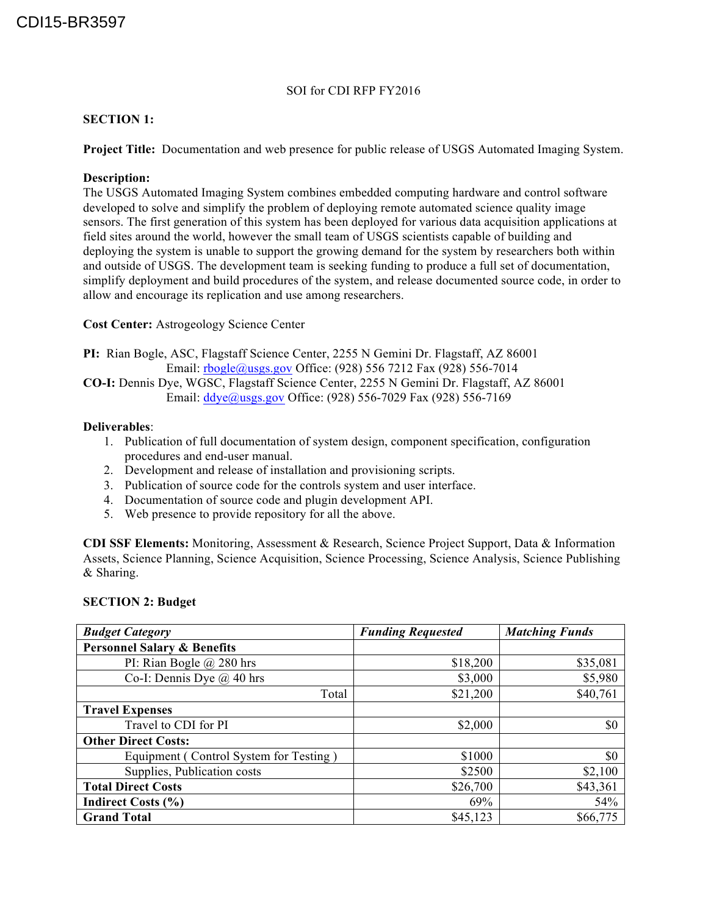### SOI for CDI RFP FY2016

# **SECTION 1:**

**Project Title:** Documentation and web presence for public release of USGS Automated Imaging System.

# **Description:**

The USGS Automated Imaging System combines embedded computing hardware and control software developed to solve and simplify the problem of deploying remote automated science quality image sensors. The first generation of this system has been deployed for various data acquisition applications at field sites around the world, however the small team of USGS scientists capable of building and deploying the system is unable to support the growing demand for the system by researchers both within and outside of USGS. The development team is seeking funding to produce a full set of documentation, simplify deployment and build procedures of the system, and release documented source code, in order to allow and encourage its replication and use among researchers.

# **Cost Center:** Astrogeology Science Center

**PI:** Rian Bogle, ASC, Flagstaff Science Center, 2255 N Gemini Dr. Flagstaff, AZ 86001 Email: rbogle@usgs.gov Office: (928) 556 7212 Fax (928) 556-7014

**CO-I:** Dennis Dye, WGSC, Flagstaff Science Center, 2255 N Gemini Dr. Flagstaff, AZ 86001 Email:  $\frac{ddye}{(a)$ usgs.gov Office: (928) 556-7029 Fax (928) 556-7169

### **Deliverables**:

- 1. Publication of full documentation of system design, component specification, configuration procedures and end-user manual.
- 2. Development and release of installation and provisioning scripts.
- 3. Publication of source code for the controls system and user interface.
- 4. Documentation of source code and plugin development API.
- 5. Web presence to provide repository for all the above.

**CDI SSF Elements:** Monitoring, Assessment & Research, Science Project Support, Data & Information Assets, Science Planning, Science Acquisition, Science Processing, Science Analysis, Science Publishing & Sharing.

#### **SECTION 2: Budget**

| <b>Budget Category</b>                 | <b>Funding Requested</b> | <b>Matching Funds</b> |
|----------------------------------------|--------------------------|-----------------------|
| <b>Personnel Salary &amp; Benefits</b> |                          |                       |
| PI: Rian Bogle $\omega$ 280 hrs        | \$18,200                 | \$35,081              |
| Co-I: Dennis Dye $\omega$ 40 hrs       | \$3,000                  | \$5,980               |
| Total                                  | \$21,200                 | \$40,761              |
| <b>Travel Expenses</b>                 |                          |                       |
| Travel to CDI for PI                   | \$2,000                  | \$0                   |
| <b>Other Direct Costs:</b>             |                          |                       |
| Equipment (Control System for Testing) | \$1000                   | \$0                   |
| Supplies, Publication costs            | \$2500                   | \$2,100               |
| <b>Total Direct Costs</b>              | \$26,700                 | \$43,361              |
| Indirect Costs (%)                     | 69%                      | 54%                   |
| <b>Grand Total</b>                     | \$45,123                 | \$66,775              |